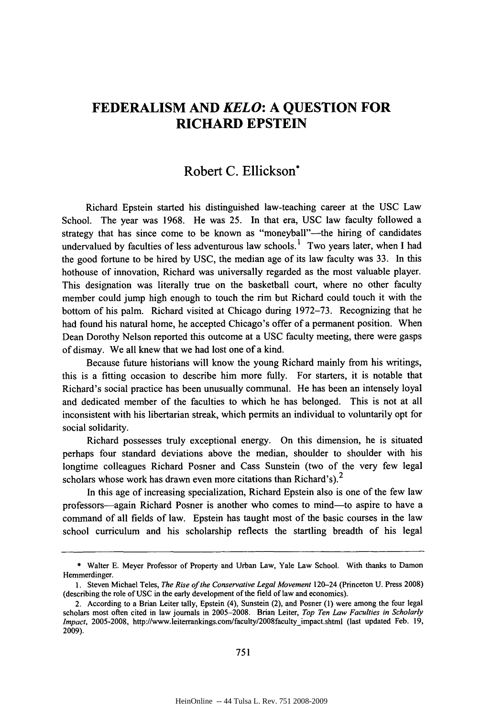# **FEDERALISM AND** *KELO:* **A QUESTION FOR RICHARD EPSTEIN**

## Robert **C.** Ellickson\*

Richard Epstein started his distinguished law-teaching career at the **USC** Law School. The year was **1968.** He was **25.** In that era, **USC** law faculty followed a strategy that has since come to be known as "moneyball"-the hiring of candidates undervalued by faculties of less adventurous law schools.<sup>1</sup> Two years later, when I had the good fortune to **be** hired **by USC,** the median age of its law faculty was **33.** In this hothouse of innovation, Richard was universally regarded as the most valuable player. This designation was literally true on the basketball court, where no other faculty member could jump high enough to touch the rim but Richard could touch it with the bottom of his palm. Richard visited at Chicago during **1972-73.** Recognizing that he had found his natural home, he accepted Chicago's offer of a permanent position. When Dean Dorothy Nelson reported this outcome at a USC faculty meeting, there were gasps of dismay. We all knew that we had lost one of a kind.

Because future historians will know the young Richard mainly from his writings, this is a fitting occasion to describe him more fully. For starters, it is notable that Richard's social practice has been unusually communal. He has been an intensely loyal and dedicated member of the faculties to which he has belonged. This is not at all inconsistent with his libertarian streak, which permits an individual to voluntarily opt for social solidarity.

Richard possesses truly exceptional energy. On this dimension, he is situated perhaps four standard deviations above the median, shoulder to shoulder with his longtime colleagues Richard Posner and Cass Sunstein (two of the very few legal scholars whose work has drawn even more citations than Richard's).<sup>2</sup>

In this age of increasing specialization, Richard Epstein also is one of the few law professors-again Richard Posner is another who comes to mind-to aspire to have a command of all fields of law. Epstein has taught most of the basic courses in the law school curriculum and his scholarship reflects the startling breadth of his legal

**<sup>\*</sup>** Walter E. Meyer Professor of Property and Urban Law, Yale Law School. With thanks to Damon Hemmerdinger.

<sup>1.</sup> Steven Michael Teles, *The Rise of the Conservative Legal Movement* 120-24 (Princeton U. Press 2008) (describing the role of USC in the early development of the field of law and economics).

<sup>2.</sup> According to a Brian Leiter tally, Epstein (4), Sunstein (2), and Posner **(1)** were among the four legal scholars most often cited in law journals in 2005-2008. Brian Leiter, *Top Ten Law Faculties in Scholarly Impact, 2005-2008, http://www.leiterrankings.com/faculty/2008faculty impact.shtml (last updated Feb. 19,* 2009).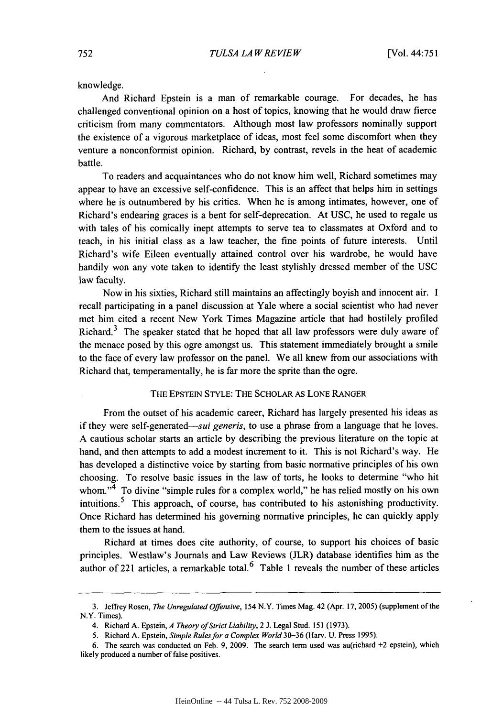knowledge.

And Richard Epstein is a man of remarkable courage. For decades, he has challenged conventional opinion on a host of topics, knowing that he would draw fierce criticism from many commentators. Although most law professors nominally support the existence of a vigorous marketplace of ideas, most feel some discomfort when they venture a nonconformist opinion. Richard, by contrast, revels in the heat of academic battle.

To readers and acquaintances who do not know him well, Richard sometimes may appear to have an excessive self-confidence. This is an affect that helps him in settings where he is outnumbered by his critics. When he is among intimates, however, one of Richard's endearing graces is a bent for self-deprecation. At USC, he used to regale us with tales of his comically inept attempts to serve tea to classmates at Oxford and to teach, in his initial class as a law teacher, the fine points of future interests. Until Richard's wife Eileen eventually attained control over his wardrobe, he would have handily won any vote taken to identify the least stylishly dressed member of the USC law faculty.

Now in his sixties, Richard still maintains an affectingly boyish and innocent air. I recall participating in a panel discussion at Yale where a social scientist who had never met him cited a recent New York Times Magazine article that had hostilely profiled Richard. $3$  The speaker stated that he hoped that all law professors were duly aware of the menace posed by this ogre amongst us. This statement immediately brought a smile to the face of every law professor on the panel. We all knew from our associations with Richard that, temperamentally, he is far more the sprite than the ogre.

#### THE EPSTEIN STYLE: THE SCHOLAR AS LONE RANGER

From the outset of his academic career, Richard has largely presented his ideas as if they were self-generated-sui generis, to use a phrase from a language that he loves. A cautious scholar starts an article by describing the previous literature on the topic at hand, and then attempts to add a modest increment to it. This is not Richard's way. He has developed a distinctive voice by starting from basic normative principles of his own choosing. To resolve basic issues in the law of torts, he looks to determine "who hit whom."<sup>4</sup> To divine "simple rules for a complex world," he has relied mostly on his own intuitions. 5 This approach, of course, has contributed to his astonishing productivity. Once Richard has determined his governing normative principles, he can quickly apply them to the issues at hand.

Richard at times does cite authority, of course, to support his choices of basic principles. Westlaw's Journals and Law Reviews (JLR) database identifies him as the author of 221 articles, a remarkable total.  $6$  Table 1 reveals the number of these articles

<sup>3.</sup> Jeffrey Rosen, *The Unregulated Offensive,* 154 N.Y. Times Mag. 42 (Apr. 17, 2005) (supplement of the N.Y. Times).

<sup>4.</sup> Richard A. Epstein, *A Theory of Strict Liability,* 2 J. Legal Stud. 151 (1973).

<sup>5.</sup> Richard A. Epstein, *Simple Rules for a Complex World* 30-36 (Harv. U. Press 1995).

<sup>6.</sup> The search was conducted on Feb. 9, 2009. The search term used was au(richard +2 epstein), which likely produced a number of false positives.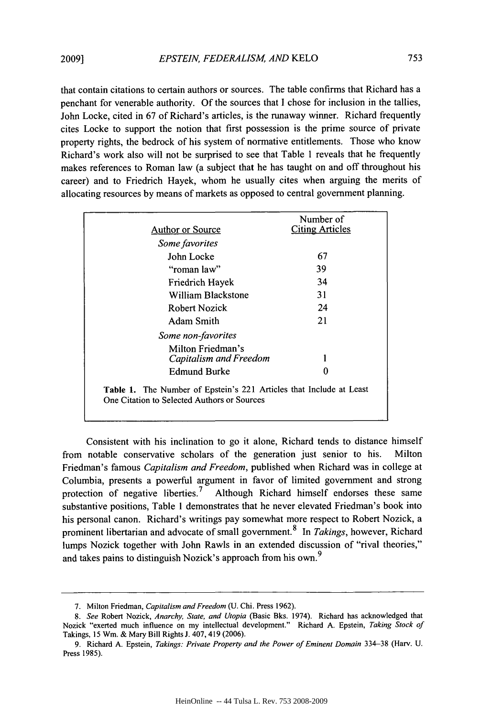that contain citations to certain authors or sources. The table confirms that Richard has a penchant for venerable authority. Of the sources that I chose for inclusion in the tallies, John Locke, cited in 67 of Richard's articles, is the runaway winner. Richard frequently cites Locke to support the notion that first possession is the prime source of private property rights, the bedrock of his system of normative entitlements. Those who know Richard's work also will not be surprised to see that Table 1 reveals that he frequently makes references to Roman law (a subject that he has taught on and off throughout his career) and to Friedrich Hayek, whom he usually cites when arguing the merits of allocating resources by means of markets as opposed to central government planning.

| <b>Author or Source</b>                                                                                                   | Number of<br><b>Citing Articles</b> |
|---------------------------------------------------------------------------------------------------------------------------|-------------------------------------|
| Some favorites                                                                                                            |                                     |
| John Locke                                                                                                                | 67                                  |
| "roman law"                                                                                                               | 39                                  |
| Friedrich Hayek                                                                                                           | 34                                  |
| William Blackstone                                                                                                        | 31                                  |
| Robert Nozick                                                                                                             | 24                                  |
| Adam Smith                                                                                                                | 21                                  |
| Some non-favorites                                                                                                        |                                     |
| Milton Friedman's<br>Capitalism and Freedom                                                                               |                                     |
| Edmund Burke                                                                                                              | 0                                   |
| <b>Table 1.</b> The Number of Epstein's 221 Articles that Include at Least<br>One Citation to Selected Authors or Sources |                                     |

Consistent with his inclination to go it alone, Richard tends to distance himself from notable conservative scholars of the generation just senior to his. Milton Friedman's famous *Capitalism and Freedom,* published when Richard was in college at Columbia, presents a powerful argument in favor of limited government and strong protection of negative liberties.<sup>7</sup> Although Richard himself endorses these same substantive positions, Table 1 demonstrates that he never elevated Friedman's book into his personal canon. Richard's writings pay somewhat more respect to Robert Nozick, a prominent libertarian and advocate of small government. 8 In *Takings,* however, Richard lumps Nozick together with John Rawls in an extended discussion of "rival theories," and takes pains to distinguish Nozick's approach from his own.<sup>9</sup>

<sup>7.</sup> Milton Friedman, *Capitalism and Freedom* (U. Chi. Press 1962).

*<sup>8.</sup> See* Robert Nozick, *Anarchy, State, and Utopia* (Basic Bks. 1974). Richard has acknowledged that Nozick "exerted much influence on my intellectual development." Richard A. Epstein, *Taking Stock of* Takings, 15 Wm. & Mary Bill Rights J. 407,419 (2006).

<sup>9.</sup> Richard A. Epstein, *Takings: Private Property and the Power of Eminent Domain* 334-38 (Harv. U. Press 1985).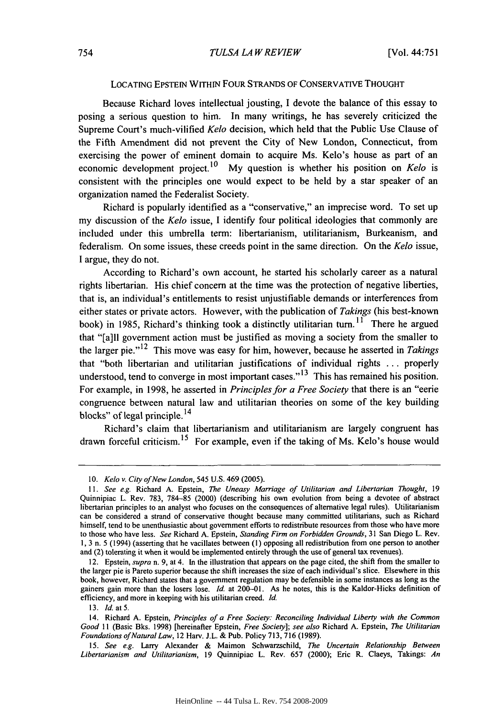#### LOCATING EPSTEIN WITHIN FOUR STRANDS OF CONSERVATIVE THOUGHT

Because Richard loves intellectual jousting, I devote the balance of this essay to posing a serious question to him. In many writings, he has severely criticized the Supreme Court's much-vilified *Kelo* decision, which held that the Public Use Clause of the Fifth Amendment did not prevent the City of New London, Connecticut, from exercising the power of eminent domain to acquire Ms. Kelo's house as part of an economic development project.10 My question is whether his position on *Kelo* is consistent with the principles one would expect to be held by a star speaker of an organization named the Federalist Society.

Richard is popularly identified as a "conservative," an imprecise word. To set up my discussion of the *Kelo* issue, I identify four political ideologies that commonly are included under this umbrella term: libertarianism, utilitarianism, Burkeanism, and federalism. On some issues, these creeds point in the same direction. On the *Kelo* issue, I argue, they do not.

According to Richard's own account, he started his scholarly career as a natural rights libertarian. His chief concern at the time was the protection of negative liberties, that is, an individual's entitlements to resist unjustifiable demands or interferences from either states or private actors. However, with the publication of *Takings* (his best-known book) in 1985, Richard's thinking took a distinctly utilitarian turn.<sup>11</sup> There he argued that "[a]ll government action must be justified as moving a society from the smaller to the larger pie."<sup>12</sup> This move was easy for him, however, because he asserted in *Takings* that "both libertarian and utilitarian justifications of individual rights ... properly understood, tend to converge in most important cases." **1 <sup>3</sup>**This has remained his position. For example, in 1998, he asserted in *Principles for a Free Society* that there is an "eerie congruence between natural law and utilitarian theories on some of the key building blocks" of legal principle.  $^{14}$ 

Richard's claim that libertarianism and utilitarianism are largely congruent has drawn forceful criticism.<sup>15</sup> For example, even if the taking of Ms. Kelo's house would

<sup>10.</sup> *Kelo* v. City of *New* London, 545 U.S. 469 (2005).

*<sup>11.</sup> See e.g.* Richard A. Epstein, *The Uneasy Marriage of Utilitarian and Libertarian Thought,* 19 Quinnipiac L. Rev. 783, 784-85 (2000) (describing his own evolution from being a devotee of abstract libertarian principles to an analyst who focuses on the consequences of alternative legal rules). Utilitarianism can be considered a strand of conservative thought because many committed utilitarians, such as Richard himself, tend to be unenthusiastic about government efforts to redistribute resources from those who have more to those who have less. See Richard A. Epstein, Standing Firm on Forbidden *Grounds,* 31 San Diego L. Rev. 1, 3 n. 5 (1994) (asserting that he vacillates between (I) opposing all redistribution from one person to another and (2) tolerating it when it would be implemented entirely through the use of general tax revenues).

<sup>12.</sup> Epstein, *supra* n. 9, at 4. In the illustration that appears on the page cited, the shift from the smaller to the larger pie is Pareto superior because the shift increases the size of each individual's slice. Elsewhere in this book, however, Richard states that a government regulation may be defensible in some instances as long as the gainers gain more than the losers lose. **Id.** at 200-01. As he notes, this is the Kaldor-Hicks definition of efficiency, and more in keeping with his utilitarian creed. **Id.**

<sup>13.</sup> **Id.** at **5.**

<sup>14.</sup> Richard A. Epstein, *Principles* of a Free Society: *Reconciling* Individual Liberty with the Common Good *II* (Basic Bks. 1998) [hereinafter Epstein, *Free Society]; see also* Richard A. Epstein, *The Utilitarian Foundations of Natural Law,* 12 Harv. J.L. & Pub. Policy 713, 716 (1989).

<sup>15.</sup> *See e.g.* Larry Alexander & Maimon Schwarzschild, *The Uncertain Relationship Between Libertarianism and Utilitarianism,* 19 Quinnipiac L. Rev. 657 (2000); Eric R. Claeys, Takings: *An*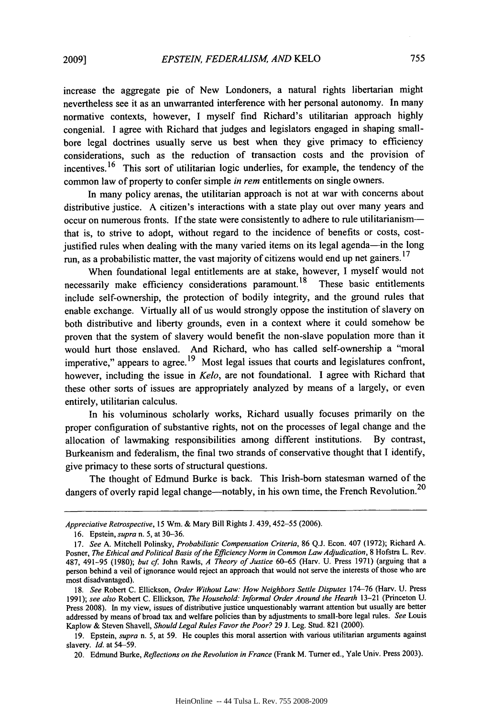increase the aggregate pie of New Londoners, a natural rights libertarian might nevertheless see it as an unwarranted interference with her personal autonomy. In many normative contexts, however, I myself find Richard's utilitarian approach highly congenial. I agree with Richard that judges and legislators engaged in shaping smallbore legal doctrines usually serve us best when they give primacy to efficiency considerations, such as the reduction of transaction costs and the provision of incentives. <sup>16</sup> This sort of utilitarian logic underlies, for example, the tendency of the common law of property to confer simple *in rem* entitlements on single owners.

In many policy arenas, the utilitarian approach is not at war with concerns about distributive justice. A citizen's interactions with a state play out over many years and occur on numerous fronts. If the state were consistently to adhere to rule utilitarianismthat is, to strive to adopt, without regard to the incidence of benefits or costs, costjustified rules when dealing with the many varied items on its legal agenda—in the long run, as a probabilistic matter, the vast majority of citizens would end up net gainers.<sup>17</sup>

When foundational legal entitlements are at stake, however, I myself would not necessarily make efficiency considerations paramount.<sup>18</sup> These basic entitlements include self-ownership, the protection of bodily integrity, and the ground rules that enable exchange. Virtually all of us would strongly oppose the institution of slavery on both distributive and liberty grounds, even in a context where it could somehow be proven that the system of slavery would benefit the non-slave population more than it would hurt those enslaved. And Richard, who has called self-ownership a "moral imperative," appears to agree.<sup>19</sup> Most legal issues that courts and legislatures confront, however, including the issue in *Kelo,* are not foundational. I agree with Richard that these other sorts of issues are appropriately analyzed by means of a largely, or even entirely, utilitarian calculus.

In his voluminous scholarly works, Richard usually focuses primarily on the proper configuration of substantive rights, not on the processes of legal change and the allocation of lawmaking responsibilities among different institutions. By contrast, Burkeanism and federalism, the final two strands of conservative thought that I identify, give primacy to these sorts of structural questions.

The thought of Edmund Burke is back. This Irish-born statesman warned of the dangers of overly rapid legal change—notably, in his own time, the French Revolution.<sup>20</sup>

*Appreciative Retrospective, 15* Win. & Mary Bill Rights J. 439,452-55 (2006).

<sup>16.</sup> Epstein, *supra* n. 5, at 30-36.

<sup>17.</sup> *See* A. Mitchell Polinsky, *Probabilistic Compensation Criteria,* 86 Q.J. Econ. 407 (1972); Richard A. Posner, *The Ethical and Political Basis of the Efficiency Norm in Common Law Adjudication*, 8 Hofstra L. Rev. 487, 491-95 (1980); *but cf.* John Rawls, *A Theory of Justice* 60-65 (Harv. U. Press 1971) (arguing that a person behind a veil of ignorance would reject an approach that would not serve the interests of those who are most disadvantaged).

<sup>18.</sup> *See* Robert C. Ellickson, *Order Without Law: How Neighbors Settle Disputes* 174-76 (Harv. U. Press 1991); *see also* Robert C. Ellickson, *The Household: Informal Order Around the Hearth* 13-21 (Princeton U. Press 2008). In my view, issues of distributive justice unquestionably warrant attention but usually are better addressed by means of broad tax and welfare policies than by adjustments to small-bore legal rules. *See* Louis Kaplow & Steven Shavell, *Should Legal Rules Favor the Poor?* 29 J. Leg. Stud. 821 (2000).

<sup>19.</sup> Epstein, *supra* n. 5, at 59. He couples this moral assertion with various utilitarian arguments against slavery. *Id.* at 54-59.

<sup>20.</sup> Edmund Burke, *Reflections on the Revolution in France* (Frank M. Turner ed., Yale Univ. Press 2003).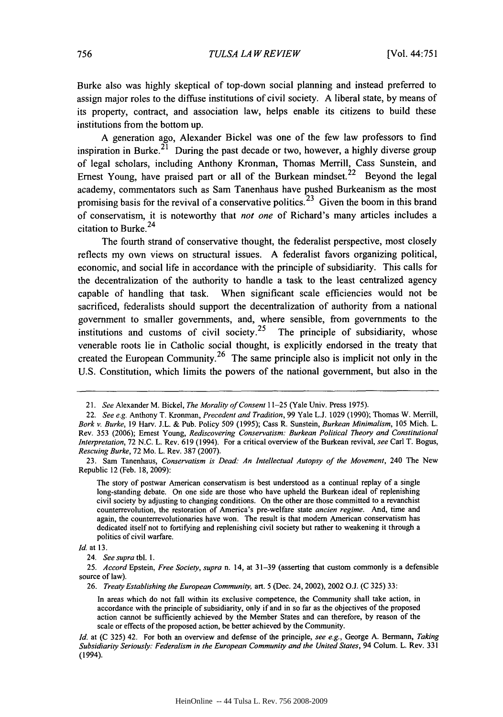Burke also was **highly** skeptical of top-down social planning and instead preferred to assign major roles to the diffuse institutions of civil society. **A** liberal state, **by** means of its property, contract, and association law, helps enable its citizens to build these institutions from the bottom up.

**A** generation ago, Alexander Bickel was one of the few law professors to find inspiration in Burke.<sup>21</sup> During the past decade or two, however, a highly diverse group of legal scholars, including Anthony Kronman, Thomas Merrill, Cass Sunstein, and Ernest Young, have praised part or all of the Burkean mindset.<sup>22</sup> Beyond the legal academy, commentators such as Sam Tanenhaus have pushed Burkeanism as the most promising basis for the revival of a conservative politics.<sup>23</sup> Given the boom in this brand of conservatism, it is noteworthy that not one of Richard's many articles includes a citation to Burke. <sup>24</sup>

The fourth strand of conservative thought, the federalist perspective, most closely reflects my own views on structural issues. **A** federalist favors organizing political, economic, and social life in accordance with the principle of subsidiarity. This calls for the decentralization of the authority to handle a task to the least centralized agency capable of handling that task. When significant scale efficiencies would not be sacrificed, federalists should support the decentralization of authority from a national government to smaller governments, and, where sensible, from governments to the institutions and customs of civil society.<sup>25</sup> The principle of subsidiarity, whose venerable roots lie in Catholic social thought, is explicitly endorsed in the treaty that created the European Community.<sup>26</sup> The same principle also is implicit not only in the **U.S.** Constitution, which limits the powers of the national government, but also in the

<sup>21.</sup> *See* Alexander M. Bickel, *The Morality of Consent* **11-25** (Yale Univ. Press **1975).**

<sup>22.</sup> *See e.g.* Anthony T. Kronman, *Precedent and Tradition,* **99** Yale **L.J. 1029 (1990);** Thomas W. Merrill, *Bork v. Burke,* **19 Harv. J.L. &** Pub. Policy **509 (1995);** Cass R. Sunstein, *Burkean Minimalism,* **105** Mich. L. Rev. **353 (2006);** Ernest Young, *Rediscovering Conservatism: Burkean Political Theory and Constitutional Interpretation,* **72 N.C.** L. Rev. **619** (1994). For a critical overview of the Burkean revival, *see* Carl T. Bogus, *Rescuing Burke,* **72** Mo. L. Rev. **387 (2007).**

**<sup>23.</sup>** Sam Tanenhaus, *Conservatism is Dead: An Intellectual Autopsy of the Movement,* 240 The New Republic 12 (Feb. **18, 2009):**

The story of postwar American conservatism is best understood as a continual replay of a single long-standing debate. On one side are those who have upheld the Burkean ideal of replenishing civil society **by** adjusting to changing conditions. On the other are those committed to a revanchist counterrevolution, the restoration of America's pre-welfare state *ancien regime.* And, time and again, the counterrevolutionaries have won. The result is that modem American conservatism has dedicated itself not to fortifying and replenishing civil society but rather to weakening it through a politics of civil warfare.

*Id.* at **13.**

<sup>24.</sup> *See supra tbl.* **1.**

*<sup>25.</sup> Accord* Epstein, *Free Society, supra* n. 14, at **31-39** (asserting that custom commonly is a defensible source of law).

**<sup>26.</sup>** *Treaty Establishing the European Community,* art. **5** (Dec. 24, 2002), 2002 **O.J. (C 325) 33:**

In areas which do not fall within its exclusive competence, the Community shall take action, in accordance with the principle of subsidiarity, only if and in so far as the objectives of the proposed action cannot **be** sufficiently achieved **by** the Member States and can therefore, **by** reason of the scale or effects of the proposed action, be better achieved **by** the Community.

*Id.* at **(C 325)** 42. For both an overview and defense of the principle, *see e.g.,* George **A.** Bermann, *Taking Subsidiarity Seriously: Federalism in the European Community and the United States,* 94 Colum. L. Rev. **331** (1994).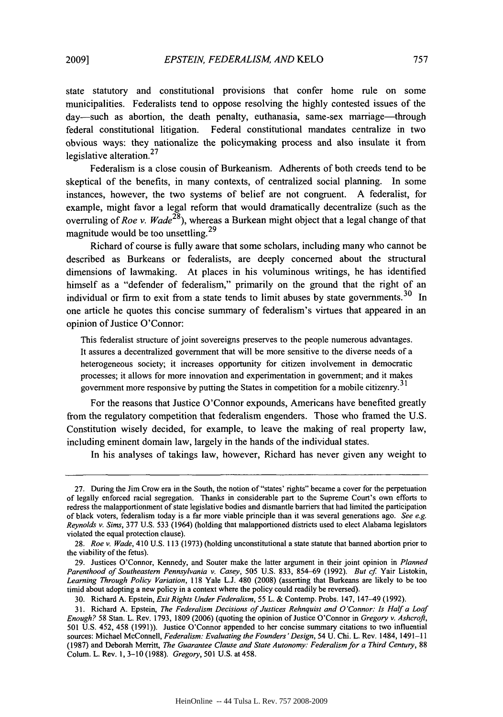state statutory and constitutional provisions that confer home rule on some municipalities. Federalists tend to oppose resolving the highly contested issues of the day-such as abortion, the death penalty, euthanasia, same-sex marriage-through federal constitutional litigation. Federal constitutional mandates centralize in two obvious ways: they nationalize the policymaking process and also insulate it from legislative alteration.<sup>27</sup>

Federalism is a close cousin of Burkeanism. Adherents of both creeds tend to be skeptical of the benefits, in many contexts, of centralized social planning. In some instances, however, the two systems of belief are not congruent. A federalist, for example, might favor a legal reform that would dramatically decentralize (such as the overruling of *Roe v. Wade28),* whereas a Burkean might object that a legal change of that magnitude would be too unsettling.<sup>29</sup>

Richard of course is fully aware that some scholars, including many who cannot be described as Burkeans or federalists, are deeply concerned about the structural dimensions of lawmaking. At places in his voluminous writings, he has identified himself as a "defender of federalism," primarily on the ground that the right of an individual or firm to exit from a state tends to limit abuses by state governments.<sup>30</sup> In one article he quotes this concise summary of federalism's virtues that appeared in an opinion of Justice O'Connor:

This federalist structure of joint sovereigns preserves to the people numerous advantages. It assures a decentralized government that will be more sensitive to the diverse needs of a heterogeneous society; it increases opportunity for citizen involvement in democratic processes; it allows for more innovation and experimentation in government; and it makes government more responsive by putting the States in competition for a mobile citizenry.<sup>31</sup>

For the reasons that Justice O'Connor expounds, Americans have benefited greatly from the regulatory competition that federalism engenders. Those who framed the U.S. Constitution wisely decided, for example, to leave the making of real property law, including eminent domain law, largely in the hands of the individual states.

In his analyses of takings law, however, Richard has never given any weight to

29. Justices O'Connor, Kennedy, and Souter make the latter argument in their joint opinion in *Planned Parenthood of Southeastern Pennsylvania v. Casey,* 505 U.S. 833, 854-69 (1992). *But cf.* Yair Listokin, *Learning Through Policy Variation,* 118 Yale L.J. 480 (2008) (asserting that Burkeans are likely to be too timid about adopting a new policy in a context where the policy could readily be reversed).

<sup>27.</sup> During the Jim Crow era in the South, the notion of "states' rights" became a cover for the perpetuation of legally enforced racial segregation. Thanks in considerable part to the Supreme Court's own efforts to redress the malapportionment of state legislative bodies and dismantle barriers that had limited the participation of black voters, federalism today is a far more viable principle than it was several generations ago. *See e.g. Reynolds v. Sims,* **377 U.S. 533** (1964) (holding that malapportioned districts used to elect Alabama legislators violated the equal protection clause).

**<sup>28.</sup>** *Roe v. Wade,* **410 U.S. 113 (1973)** (holding unconstitutional a state statute that banned abortion prior to the viability of the fetus).

<sup>30.</sup> Richard A. Epstein, *Exit Rights Under Federalism,* 55 L. & Contemp. Probs. 147, 147-49 (1992).

<sup>31.</sup> Richard **A.** Epstein, *The Federalism Decisions of Justices Rehnquist and O'Connor: Is Half a Loaf Enough?* 58 Stan. L. Rev. 1793, 1809 (2006) (quoting the opinion of Justice O'Connor in *Gregory v. Ashcrofi,* 501 U.S. 452, 458 (1991)). Justice O'Connor appended to her concise summary citations to two influential sources: Michael McConnell, *Federalism: Evaluating the Founders' Design,* 54 U. Chi. L. Rev. 1484, 1491-11 (1987) and Deborah Merritt, *The Guarantee Clause and State Autonomy: Federalism for a Third Century,* 88 Colum. L. Rev. 1, **3-10** (1988). *Gregory,* 501 U.S. at 458.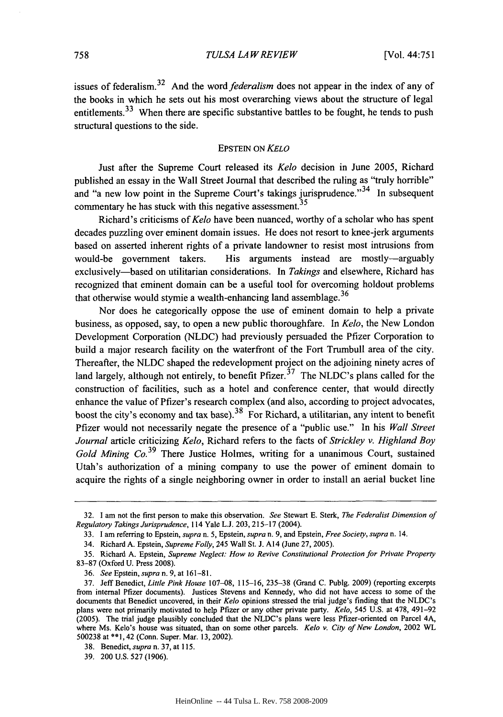issues of federalism. 32 And the *word federalism* does not appear in the index of any of the books in which he sets out his most overarching views about the structure of legal entitlements.<sup>33</sup> When there are specific substantive battles to be fought, he tends to push structural questions to the side.

#### EPSTEIN ON *KELO*

Just after the Supreme Court released its *Kelo* decision in June 2005, Richard published an essay in the Wall Street Journal that described the ruling as "truly horrible" and "a new low point in the Supreme Court's takings jurisprudence."<sup>34</sup> In subsequent commentary he has stuck with this negative assessment.<sup>35</sup>

Richard's criticisms of *Kelo* have been nuanced, worthy of a scholar who has spent decades puzzling over eminent domain issues. He does not resort to knee-jerk arguments based on asserted inherent rights of a private landowner to resist most intrusions from would-be government takers. His arguments instead are mostly-arguably exclusively-based on utilitarian considerations. In *Takings* and elsewhere, Richard has recognized that eminent domain can be a useful tool for overcoming holdout problems that otherwise would stymie a wealth-enhancing land assemblage.<sup>36</sup>

Nor does he categorically oppose the use of eminent domain to help a private business, as opposed, say, to open a new public thoroughfare. In *Kelo,* the New London Development Corporation (NLDC) had previously persuaded the Pfizer Corporation to build a major research facility on the waterfront of the Fort Trumbull area of the city. Thereafter, the NLDC shaped the redevelopment project on the adjoining ninety acres of land largely, although not entirely, to benefit  $Pfizer$ <sup>37</sup>. The NLDC's plans called for the construction of facilities, such as a hotel and conference center, that would directly enhance the value of Pfizer's research complex (and also, according to project advocates, boost the city's economy and tax base).<sup>38</sup> For Richard, a utilitarian, any intent to benefit Pfizer would not necessarily negate the presence of a "public use." In his *Wall Street Journal* article criticizing *Kelo,* Richard refers to the facts of *Strickley v. Highland Boy Gold Mining Co.*<sup>39</sup> There Justice Holmes, writing for a unanimous Court, sustained Utah's authorization of a mining company to use the power of eminent domain to acquire the rights of a single neighboring owner in order to install an aerial bucket line

<sup>32.</sup> I am not the first person to make this observation. *See* Stewart E. Sterk, *The Federalist Dimension of Regulatory Takings Jurisprudence,* 114 Yale L.J. 203, 215-17 (2004).

<sup>33.</sup> I am referring to Epstein, *supra* n. 5, Epstein, *supra* n. 9, and Epstein, *Free Society, supra* n. 14.

<sup>34.</sup> Richard A. Epstein, *Supreme Folly,* 245 Wall St. J. Al4 (June 27, 2005).

<sup>35.</sup> Richard A. Epstein, *Supreme Neglect: How to Revive Constitutional Protection for Private Property* 83-87 (Oxford U. Press 2008).

<sup>36.</sup> *See* Epstein, *supra* n. 9, at 161-81.

<sup>37.</sup> Jeff Benedict, *Little Pink House* 107-08, 115-16, 235-38 (Grand C. Publg. 2009) (reporting excerpts from internal Pfizer documents). Justices Stevens and Kennedy, who did not have access to some of the documents that Benedict uncovered, in their *Kelo* opinions stressed the trial judge's finding that the NLDC's plans were not primarily motivated to help Pfizer or any other private party. *Kelo,* 545 U.S. at 478, 491-92 (2005). The trial judge plausibly concluded that the NLDC's plans were less Pfizer-oriented on Parcel 4A, where Ms. Kelo's house was situated, than on some other parcels. *Kelo v. City of New London,* 2002 WL 500238 at \*\*1, 42 (Conn. Super. Mar. 13, 2002).

<sup>38.</sup> Benedict, *supra* n. 37, at 115.

<sup>39. 200</sup> U.S. 527 (1906).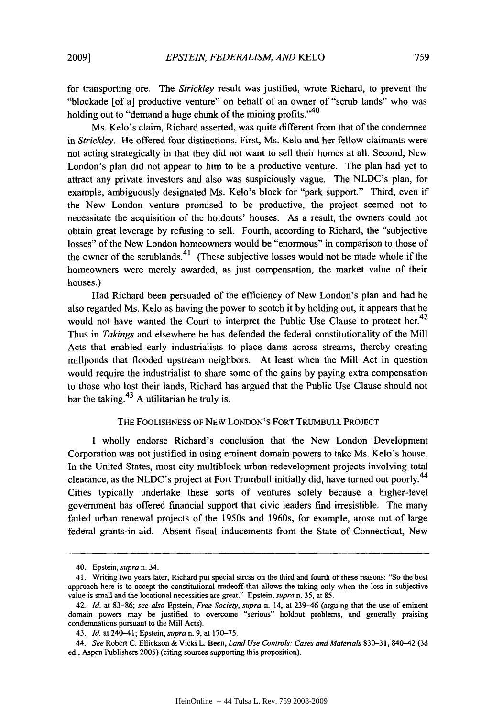for transporting ore. The *Strickley* result was justified, wrote Richard, to prevent the "blockade [of a] productive venture" on behalf of an owner of "scrub lands" who was holding out to "demand a huge chunk of the mining profits."<sup>40</sup>

Ms. Kelo's claim, Richard asserted, was quite different from that of the condemnee in *Strickley.* He offered four distinctions. First, Ms. Kelo and her fellow claimants were not acting strategically in that they did not want to sell their homes at all. Second, New London's plan did not appear to him to be a productive venture. The plan had yet to attract any private investors and also was suspiciously vague. The NLDC's plan, for example, ambiguously designated Ms. Kelo's block for "park support." Third, even if the New London venture promised to be productive, the project seemed not to necessitate the acquisition of the holdouts' houses. As a result, the owners could not obtain great leverage by refusing to sell. Fourth, according to Richard, the "subjective losses" of the New London homeowners would be "enormous" in comparison to those of the owner of the scrublands.<sup>41</sup> (These subjective losses would not be made whole if the homeowners were merely awarded, as just compensation, the market value of their houses.)

Had Richard been persuaded of the efficiency of New London's plan and had he also regarded Ms. Kelo as having the power to scotch it by holding out, it appears that he would not have wanted the Court to interpret the Public Use Clause to protect her.<sup>42</sup> Thus in *Takings* and elsewhere he has defended the federal constitutionality of the Mill Acts that enabled early industrialists to place dams across streams, thereby creating millponds that flooded upstream neighbors. At least when the Mill Act in question would require the industrialist to share some of the gains by paying extra compensation to those who lost their lands, Richard has argued that the Public Use Clause should not bar the taking.  $43$  A utilitarian he truly is.

### THE FOOLISHNESS OF NEW LONDON'S FORT TRUMBULL PROJECT

I wholly endorse Richard's conclusion that the New London Development Corporation was not justified in using eminent domain powers to take Ms. Kelo's house. In the United States, most city multiblock urban redevelopment projects involving total clearance, as the NLDC's project at Fort Trumbull initially did, have turned out poorly.<sup>44</sup> Cities typically undertake these sorts of ventures solely because a higher-level government has offered financial support that civic leaders find irresistible. The many failed urban renewal projects of the 1950s and 1960s, for example, arose out of large federal grants-in-aid. Absent fiscal inducements from the State of Connecticut, New

<sup>40.</sup> Epstein, *supra* n. 34.

<sup>41.</sup> Writing two years later, Richard put special stress on the third and fourth of these reasons: "So the best approach here is to accept the constitutional tradeoff that allows the taking only when the loss in subjective value is small and the locational necessities are great." Epstein, *supra* n. 35, at 85.

<sup>42.</sup> *Id.* at 83-86; *see also* Epstein, *Free Society, supra* n. 14, at 239-46 (arguing that the use of eminent domain powers may be justified to overcome "serious" holdout problems, and generally praising condemnations pursuant to the Mill Acts).

<sup>43.</sup> Id. at 240-41; Epstein, *supra* n. 9, at 170-75.

*<sup>44.</sup> See* Robert C. Ellickson & Vicki L. Been, *Land Use Controls: Cases and Materials* 830-31, 840-42 (3d ed., Aspen Publishers 2005) (citing sources supporting this proposition).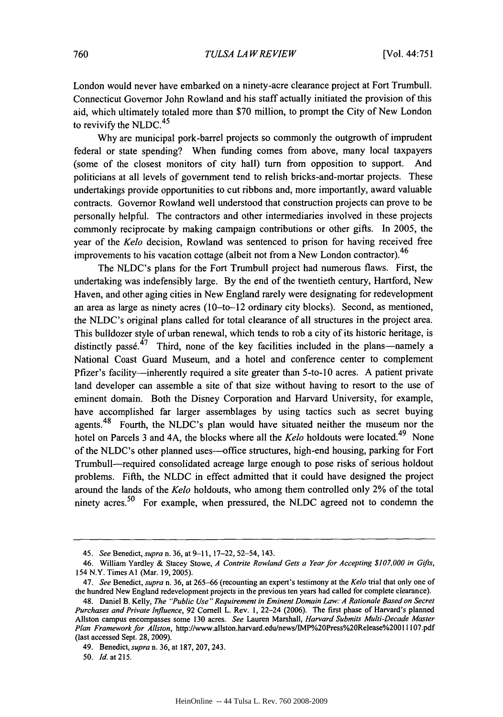London would never have embarked on a ninety-acre clearance project at Fort Trumbull. Connecticut Governor John Rowland and his staff actually initiated the provision of this aid, which ultimately totaled more than \$70 million, to prompt the City of New London to revivify the NLDC. $45$ 

Why are municipal pork-barrel projects so commonly the outgrowth of imprudent federal or state spending? When funding comes from above, many local taxpayers (some of the closest monitors of city hall) turn from opposition to support. And politicians at all levels of government tend to relish bricks-and-mortar projects. These undertakings provide opportunities to cut ribbons and, more importantly, award valuable contracts. Governor Rowland well understood that construction projects can prove to be personally helpful. The contractors and other intermediaries involved in these projects commonly reciprocate by making campaign contributions or other gifts. In 2005, the year of the *Kelo* decision, Rowland was sentenced to prison for having received free improvements to his vacation cottage (albeit not from a New London contractor).  $46$ 

The NLDC's plans for the Fort Trumbull project had numerous flaws. First, the undertaking was indefensibly large. By the end of the twentieth century, Hartford, New Haven, and other aging cities in New England rarely were designating for redevelopment an area as large as ninety acres (10-to-12 ordinary city blocks). Second, as mentioned, the NLDC's original plans called for total clearance of all structures in the project area. This bulldozer style of urban renewal, which tends to rob a city of its historic heritage, is distinctly passe.<sup>47</sup> Third, none of the key facilities included in the plans—namely a National Coast Guard Museum, and a hotel and conference center to complement Pfizer's facility-inherently required a site greater than 5-to-10 acres. A patient private land developer can assemble a site of that size without having to resort to the use of eminent domain. Both the Disney Corporation and Harvard University, for example, have accomplished far larger assemblages by using tactics such as secret buying agents.<sup>48</sup> Fourth, the NLDC's plan would have situated neither the museum nor the hotel on Parcels 3 and 4A, the blocks where all the *Kelo* holdouts were located.<sup>49</sup> None of the NLDC's other planned uses-office structures, high-end housing, parking for Fort Trumbull-required consolidated acreage large enough to pose risks of serious holdout problems. Fifth, the NLDC in effect admitted that it could have designed the project around the lands of the *Kelo* holdouts, who among them controlled only 2% of the total ninety acres.<sup>50</sup> For example, when pressured, the NLDC agreed not to condemn the

**50.** *Id.* at **215.**

<sup>45.</sup> See *Benedict, supran.* 36, at 9-11, 17-22, 52-54, 143.

<sup>46.</sup> William Yardley & Stacey Stowe, *A Contrite Rowland Gets a Year for Accepting* \$107,000 *in Gifts,* 154 N.Y. Times **Al** (Mar. 19, 2005).

<sup>47.</sup> *See* Benedict, *supra* n. **36,** at 265-66 (recounting an expert's testimony at the *Kelo* trial that only one of the hundred New England redevelopment projects in the previous ten years had called for complete clearance).

<sup>48.</sup> Daniel B. Kelly, *The "Public Use" Requirement in Eminent Domain Law: A Rationale Based on Secret Purchases and Private Influence,* **92** Cornell L. Rev. **I,** 22-24 **(2006).** The first phase of Harvard's planned Allston campus encompasses some **130** acres. *See* Lauren Marshall, *Harvard Submits Multi-Decade Master Plan Framework for Allston,* http://www.allston.harvard.edu/news/IMP%20Press%20Release%20011107.pdf (last accessed Sept. **28, 2009).**

<sup>49.</sup> Benedict, *supra* n. **36,** at **187, 207,** 243.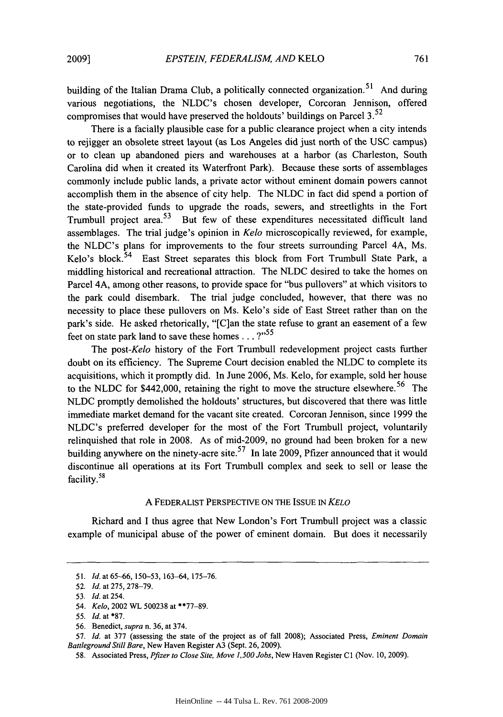building of the Italian Drama Club, a politically connected organization.<sup>51</sup> And during various negotiations, the NLDC's chosen developer, Corcoran Jennison, offered compromises that would have preserved the holdouts' buildings on Parcel  $3.52$ 

There is a facially plausible case for a public clearance project when a city intends to rejigger an obsolete street layout (as Los Angeles did just north of the USC campus) or to clean up abandoned piers and warehouses at a harbor (as Charleston, South Carolina did when it created its Waterfront Park). Because these sorts of assemblages commonly include public lands, a private actor without eminent domain powers cannot accomplish them in the absence of city help. The NLDC in fact did spend a portion of the state-provided funds to upgrade the roads, sewers, and streetlights in the Fort Trumbull project area.<sup>53</sup> But few of these expenditures necessitated difficult land assemblages. The trial judge's opinion in *Kelo* microscopically reviewed, for example, the NLDC's plans for improvements to the four streets surrounding Parcel 4A, Ms. Kelo's block.<sup>54</sup> East Street separates this block from Fort Trumbull State Park, a middling historical and recreational attraction. The NLDC desired to take the homes on Parcel 4A, among other reasons, to provide space for "bus pullovers" at which visitors to the park could disembark. The trial judge concluded, however, that there was no necessity to place these pullovers on Ms. Kelo's side of East Street rather than on the park's side. He asked rhetorically, "[C]an the state refuse to grant an easement of a few feet on state park land to save these homes  $\ldots$  ?"<sup>55</sup>

The *post-Kelo* history of the Fort Trumbull redevelopment project casts further doubt on its efficiency. The Supreme Court decision enabled the NLDC to complete its acquisitions, which it promptly did. In June 2006, Ms. Kelo, for example, sold her house to the NLDC for \$442,000, retaining the right to move the structure elsewhere. 56 The NLDC promptly demolished the holdouts' structures, but discovered that there was little immediate market demand for the vacant site created. Corcoran Jennison, since 1999 the NLDC's preferred developer for the most of the Fort Trumbull project, voluntarily relinquished that role in 2008. As of mid-2009, no ground had been broken for a new building anywhere on the ninety-acre site.<sup>57</sup> In late 2009, Pfizer announced that it would discontinue all operations at its Fort Trumbull complex and seek to sell or lease the facility.<sup>58</sup>

#### **A** FEDERALIST PERSPECTIVE ON THE ISSUE IN *KELO*

Richard and I thus agree that New London's Fort Trumbull project was a classic example of municipal abuse of the power of eminent domain. But does it necessarily

57. *Id.* at 377 (assessing the state of the project as of fall 2008); Associated Press, *Eminent Domain Battleground Still Bare,* New Haven Register **A3** (Sept. 26, 2009).

<sup>51.</sup> *Id.* at 65-66, 150-53, 163-64, 175-76.

<sup>52.</sup> *Id.* at 275, 278-79.

<sup>53.</sup> *Id.* at 254.

<sup>54.</sup> *Kelo,* 2002 WL 500238 at \*\*77-89.

*<sup>55.</sup> Id.* at \*87.

<sup>56.</sup> Benedict, *supra* n. 36, at 374.

<sup>58.</sup> Associated Press, *Pfizer to Close Site, Move 1,500 Jobs,* New Haven Register **CI** (Nov. 10, 2009).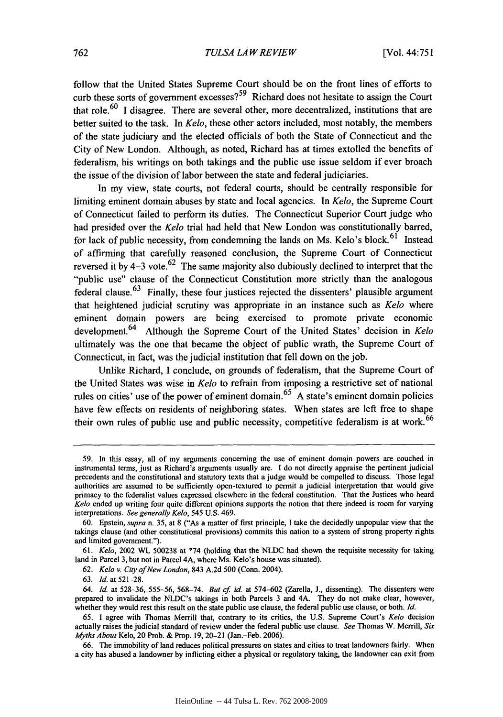follow that the United States Supreme Court should be on the front lines of efforts to curb these sorts of government excesses?<sup>59</sup> Richard does not hesitate to assign the Court that role.<sup>60</sup> I disagree. There are several other, more decentralized, institutions that are better suited to the task. In *Kelo,* these other actors included, most notably, the members of the state judiciary and the elected officials of both the State of Connecticut and the City of New London. Although, as noted, Richard has at times extolled the benefits of federalism, his writings on both takings and the public use issue seldom if ever broach the issue of the division of labor between the state and federal judiciaries.

In my view, state courts, not federal courts, should be centrally responsible for limiting eminent domain abuses **by** state and local agencies. In *Kelo,* the Supreme Court of Connecticut failed to perform its duties. The Connecticut Superior Court judge who had presided over the *Kelo* trial had held that New London was constitutionally barred, for lack of public necessity, from condemning the lands on Ms. Kelo's block.<sup>61</sup> Instead of affirming that carefully reasoned conclusion, the Supreme Court of Connecticut reversed it by  $4-3$  vote.<sup>62</sup> The same majority also dubiously declined to interpret that the "public use" clause of the Connecticut Constitution more strictly than the analogous federal clause.  $63$  Finally, these four justices rejected the dissenters' plausible argument that heightened judicial scrutiny was appropriate in an instance such as *Kelo* where eminent domain powers are being exercised to promote private economic development. 64 Although the Supreme Court of the United States' decision in *Kelo* ultimately was the one that became the object of public wrath, the Supreme Court of Connecticut, in fact, was the judicial institution that fell down on the job.

Unlike Richard, **I** conclude, on grounds of federalism, that the Supreme Court of the United States was wise in *Kelo* to refiain from imposing a restrictive set of national rules on cities' use of the power of eminent domain. **<sup>6</sup> <sup>5</sup>**A state's eminent domain policies have few effects on residents of neighboring states. When states are left free to shape their own rules of public use and public necessity, competitive federalism is at work.<sup>66</sup>

**<sup>59.</sup>** In this essay, all of my arguments concerning the use of eminent domain powers are couched in instrumental terms, just as Richard's arguments usually are. I do not directly appraise the pertinent judicial precedents and the constitutional and statutory texts that a judge would be compelled to discuss. Those legal authorities are assumed to be sufficiently open-textured to permit a judicial interpretation that would give primacy to the federalist values expressed elsewhere in the federal constitution. That the Justices who heard *Kelo* ended up writing four quite different opinions supports the notion that there indeed is room for varying interpretations. *See generally Kelo,* 545 U.S. 469.

<sup>60.</sup> Epstein, *supra* n. 35, at **8** ("As a matter of first principle, **I** take the decidedly unpopular view that the takings clause (and other constitutional provisions) commits this nation to a system of strong property rights and limited government.").

**<sup>61.</sup>** *Kelo,* 2002 WL 500238 at \*74 (holding that the NLDC had shown the requisite necessity for taking land in Parcel 3, but not in Parcel 4A, where Ms. Kelo's house was situated).

<sup>62.</sup> *Kelo* v. City of New London, 843 A.2d 500 (Conn. 2004).

**<sup>63.</sup>** *Id.* at 521-28.

*<sup>64.</sup> Id.* at 528-36, 555-56, **568-74.** *But ef id.* at 574-602 (Zarella, J., dissenting). The dissenters were prepared to invalidate the NLDC's takings in both Parcels 3 and 4A. They do not make clear, however, whether they would rest this result on the state public use clause, the federal public use clause, or both. *Id.*

<sup>65.</sup> **1** agree with Thomas Merrill that, contrary to its critics, the U.S. Supreme Court's *Kelo* decision actually raises the judicial standard of review under the federal public use clause. *See* Thomas W. Merrill, *Six Myths About* Kelo, 20 Prob. & Prop. 19, 20-21 (Jan.-Feb. 2006).

<sup>66.</sup> The immobility of land reduces political pressures on states and cities to treat landowners fairly. When a city has abused a landowner by inflicting either a physical or regulatory taking, the landowner can exit from